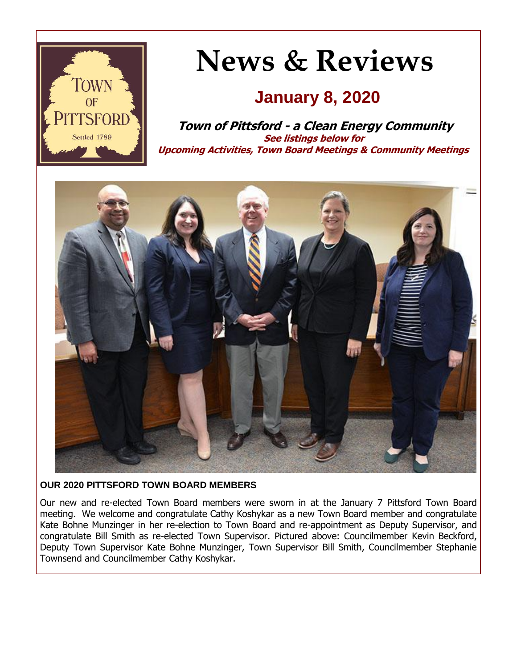

# **News & Reviews**

### **January 8, 2020**

**Town of Pittsford - a Clean Energy Community See listings below for Upcoming Activities, Town Board Meetings & Community Meetings**



#### **OUR 2020 PITTSFORD TOWN BOARD MEMBERS**

Our new and re-elected Town Board members were sworn in at the January 7 Pittsford Town Board meeting. We welcome and congratulate Cathy Koshykar as a new Town Board member and congratulate Kate Bohne Munzinger in her re-election to Town Board and re-appointment as Deputy Supervisor, and congratulate Bill Smith as re-elected Town Supervisor. Pictured above: Councilmember Kevin Beckford, Deputy Town Supervisor Kate Bohne Munzinger, Town Supervisor Bill Smith, Councilmember Stephanie Townsend and Councilmember Cathy Koshykar.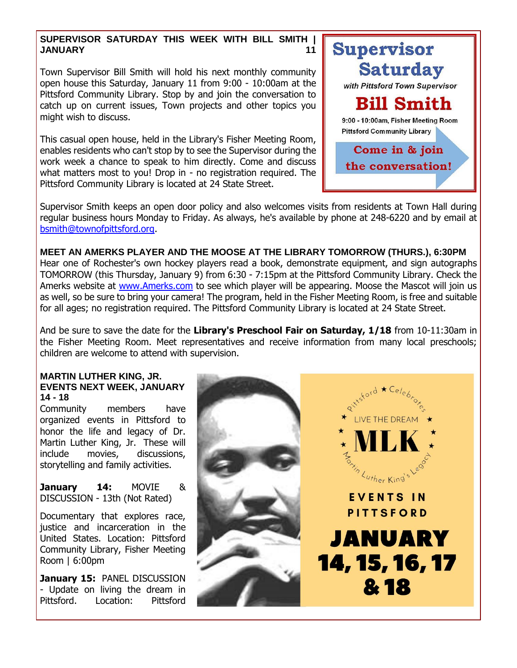#### **SUPERVISOR SATURDAY THIS WEEK WITH BILL SMITH | JANUARY 11**

Town Supervisor Bill Smith will hold his next monthly community open house this Saturday, January 11 from 9:00 - 10:00am at the Pittsford Community Library. Stop by and join the conversation to catch up on current issues, Town projects and other topics you might wish to discuss.

This casual open house, held in the Library's Fisher Meeting Room, enables residents who can't stop by to see the Supervisor during the work week a chance to speak to him directly. Come and discuss what matters most to you! Drop in - no registration required. The Pittsford Community Library is located at 24 State Street.



Supervisor Smith keeps an open door policy and also welcomes visits from residents at Town Hall during regular business hours Monday to Friday. As always, he's available by phone at 248-6220 and by email at [bsmith@townofpittsford.org.](mailto:bsmith@townofpittsford.org)

**MEET AN AMERKS PLAYER AND THE MOOSE AT THE LIBRARY TOMORROW (THURS.), 6:30PM** Hear one of Rochester's own hockey players read a book, demonstrate equipment, and sign autographs TOMORROW (this Thursday, January 9) from 6:30 - 7:15pm at the Pittsford Community Library. Check the Amerks website at [www.Amerks.com](http://r20.rs6.net/tn.jsp?f=001t3thPlGQxl_1qj5OPPoa-yAWlYIIwodvnM-lWc_1Ft-HHEMDMGxN4iesRijvs_FkiSZE-xrN73WPpwSBUPTSwsdnNPdwHRDwXZ6GfApgVC0qZ5TyvfmV8QpBs0RPoBotUiBF3J_qNNjJC_xX793Srsmtt53-zwh72WAEziAUyWukx75Z7GeLuKe7FTRGbSFC9mDSO4qw3iC6h4OTP9TwRrWjM-ab1HlkiXqxdknDK3VCdP-17htvkDBUX7xZ0FeXpi8ERWgNsMsrsyj01HexqxhmaQVAdyE7tMKKRob276N4nEEAuDTI6E_7oekFUhtl&c=uY0FgUbuAr5QUGsNJOLT_ohIS3YjIPgPMJ8d8aL8aB-8Nofh2NBSHQ==&ch=kPc6bP65rgBOzYqxWbuM49cjoY7-BmY_ZNkC8Qj2yVIwamEcaL4ZtA==) to see which player will be appearing. Moose the Mascot will join us as well, so be sure to bring your camera! The program, held in the Fisher Meeting Room, is free and suitable for all ages; no registration required. The Pittsford Community Library is located at 24 State Street.

And be sure to save the date for the **Library's Preschool Fair on Saturday, 1/18** from 10-11:30am in the Fisher Meeting Room. Meet representatives and receive information from many local preschools; children are welcome to attend with supervision.

#### **MARTIN LUTHER KING, JR. EVENTS NEXT WEEK, JANUARY 14 - 18**

Community members have organized events in Pittsford to honor the life and legacy of Dr. Martin Luther King, Jr. These will include movies, discussions, storytelling and family activities.

**January 14:** MOVIE & DISCUSSION - 13th (Not Rated)

Documentary that explores race, justice and incarceration in the United States. Location: Pittsford Community Library, Fisher Meeting Room | 6:00pm

**January 15:** PANEL DISCUSSION - Update on living the dream in Pittsford. Location: Pittsford

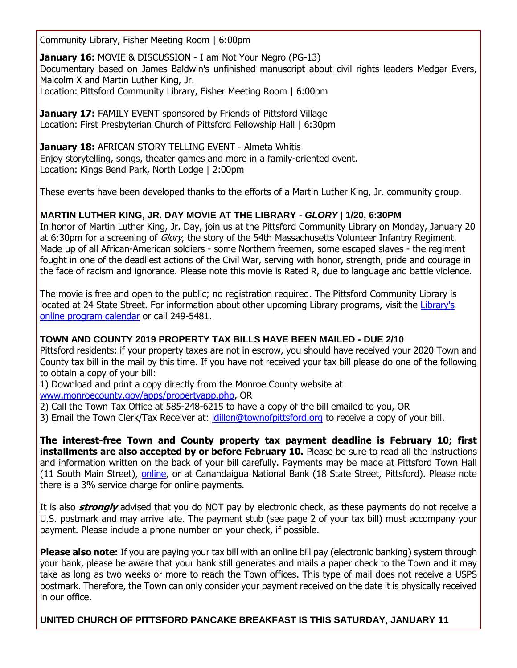Community Library, Fisher Meeting Room | 6:00pm

**January 16: MOVIE & DISCUSSION - I am Not Your Negro (PG-13)** Documentary based on James Baldwin's unfinished manuscript about civil rights leaders Medgar Evers, Malcolm X and Martin Luther King, Jr. Location: Pittsford Community Library, Fisher Meeting Room | 6:00pm

**January 17: FAMILY EVENT sponsored by Friends of Pittsford Village** Location: First Presbyterian Church of Pittsford Fellowship Hall | 6:30pm

**January 18:** AFRICAN STORY TELLING EVENT - Almeta Whitis Enjoy storytelling, songs, theater games and more in a family-oriented event. Location: Kings Bend Park, North Lodge | 2:00pm

These events have been developed thanks to the efforts of a Martin Luther King, Jr. community group.

#### **MARTIN LUTHER KING, JR. DAY MOVIE AT THE LIBRARY -** *GLORY* **| 1/20, 6:30PM**

In honor of Martin Luther King, Jr. Day, join us at the Pittsford Community Library on Monday, January 20 at 6:30pm for a screening of *Glory*, the story of the 54th Massachusetts Volunteer Infantry Regiment. Made up of all African-American soldiers - some Northern freemen, some escaped slaves - the regiment fought in one of the deadliest actions of the Civil War, serving with honor, strength, pride and courage in the face of racism and ignorance. Please note this movie is Rated R, due to language and battle violence.

The movie is free and open to the public; no registration required. The Pittsford Community Library is located at 24 State Street. For information about other upcoming Library programs, visit the [Library's](http://r20.rs6.net/tn.jsp?f=001t3thPlGQxl_1qj5OPPoa-yAWlYIIwodvnM-lWc_1Ft-HHEMDMGxN4os_1ie5_UUk8ugl5n75MhyPZ_hLWV96rt78TYa-E5x1i9lyG8KjJocZGeNip10abg6MKgBoP5qATdT1csEkq-8OWhAA20ntgreM1wh5IB8yWB2b2MhiGafhosNQpLwj03H0dkxOFJmfgbCwE8uowJyUHzX6s0p6Y_E9JFSI_5eaMZ9L-PQTVqwxxSSgVjnA6xRJvpO7KDQLbLZ0o8CfTiW170g2lqxn-yMjsc45_FWhW-3mLahURYbhQddZZxP8jCyjNkuxLzalP_YMs5ngcBjrOI2nIYuyOy4JnwKRVyVOcMEpaajrUTi9KIJ3RMJDyJliwhjSjxjMqZDJ8ZIOQpRVpS-13RX2Lg==&c=uY0FgUbuAr5QUGsNJOLT_ohIS3YjIPgPMJ8d8aL8aB-8Nofh2NBSHQ==&ch=kPc6bP65rgBOzYqxWbuM49cjoY7-BmY_ZNkC8Qj2yVIwamEcaL4ZtA==)  [online program calendar](http://r20.rs6.net/tn.jsp?f=001t3thPlGQxl_1qj5OPPoa-yAWlYIIwodvnM-lWc_1Ft-HHEMDMGxN4os_1ie5_UUk8ugl5n75MhyPZ_hLWV96rt78TYa-E5x1i9lyG8KjJocZGeNip10abg6MKgBoP5qATdT1csEkq-8OWhAA20ntgreM1wh5IB8yWB2b2MhiGafhosNQpLwj03H0dkxOFJmfgbCwE8uowJyUHzX6s0p6Y_E9JFSI_5eaMZ9L-PQTVqwxxSSgVjnA6xRJvpO7KDQLbLZ0o8CfTiW170g2lqxn-yMjsc45_FWhW-3mLahURYbhQddZZxP8jCyjNkuxLzalP_YMs5ngcBjrOI2nIYuyOy4JnwKRVyVOcMEpaajrUTi9KIJ3RMJDyJliwhjSjxjMqZDJ8ZIOQpRVpS-13RX2Lg==&c=uY0FgUbuAr5QUGsNJOLT_ohIS3YjIPgPMJ8d8aL8aB-8Nofh2NBSHQ==&ch=kPc6bP65rgBOzYqxWbuM49cjoY7-BmY_ZNkC8Qj2yVIwamEcaL4ZtA==) or call 249-5481.

#### **TOWN AND COUNTY 2019 PROPERTY TAX BILLS HAVE BEEN MAILED - DUE 2/10**

Pittsford residents: if your property taxes are not in escrow, you should have received your 2020 Town and County tax bill in the mail by this time. If you have not received your tax bill please do one of the following to obtain a copy of your bill:

1) Download and print a copy directly from the Monroe County website at [www.monroecounty.gov/apps/propertyapp.php,](http://r20.rs6.net/tn.jsp?f=001t3thPlGQxl_1qj5OPPoa-yAWlYIIwodvnM-lWc_1Ft-HHEMDMGxN4kCYpWKxxvcwyv0uYQUZwewusbm2oqBPpfM5Gvvy4H1jA6nyrHLUgSh4zt4gAjMNYdeVZuT_9PnZdEYm4k0S1fe6HzX7fSX-o2udavWT2AJl-SZnjicgCvJDvpPAfzFF4h9RbRfKPU1EKtgarmhBGVvMkxH7yijXgbVyJ0YKXR3M-2cHZJWDMjYi9j5ff_ab4yH_8O3xYDPDXgRkcUiUnVLw8CdjBNc73AqOzXPUgXcrukIyL4kh_-bzJpR_5GRDzJ4NmIYjH5H2&c=uY0FgUbuAr5QUGsNJOLT_ohIS3YjIPgPMJ8d8aL8aB-8Nofh2NBSHQ==&ch=kPc6bP65rgBOzYqxWbuM49cjoY7-BmY_ZNkC8Qj2yVIwamEcaL4ZtA==) OR

2) Call the Town Tax Office at 585-248-6215 to have a copy of the bill emailed to you, OR

3) Email the Town Clerk/Tax Receiver at: *Idillon@townofpittsford.org* to receive a copy of your bill.

**The interest-free Town and County property tax payment deadline is February 10; first installments are also accepted by or before February 10.** Please be sure to read all the instructions and information written on the back of your bill carefully. Payments may be made at Pittsford Town Hall (11 South Main Street), [online,](http://r20.rs6.net/tn.jsp?f=001t3thPlGQxl_1qj5OPPoa-yAWlYIIwodvnM-lWc_1Ft-HHEMDMGxN4kCYpWKxxvcwyv0uYQUZwewusbm2oqBPpfM5Gvvy4H1jA6nyrHLUgSh4zt4gAjMNYdeVZuT_9PnZdEYm4k0S1fe6HzX7fSX-o2udavWT2AJl-SZnjicgCvJDvpPAfzFF4h9RbRfKPU1EKtgarmhBGVvMkxH7yijXgbVyJ0YKXR3M-2cHZJWDMjYi9j5ff_ab4yH_8O3xYDPDXgRkcUiUnVLw8CdjBNc73AqOzXPUgXcrukIyL4kh_-bzJpR_5GRDzJ4NmIYjH5H2&c=uY0FgUbuAr5QUGsNJOLT_ohIS3YjIPgPMJ8d8aL8aB-8Nofh2NBSHQ==&ch=kPc6bP65rgBOzYqxWbuM49cjoY7-BmY_ZNkC8Qj2yVIwamEcaL4ZtA==) or at Canandaigua National Bank (18 State Street, Pittsford). Please note there is a 3% service charge for online payments.

It is also **strongly** advised that you do NOT pay by electronic check, as these payments do not receive a U.S. postmark and may arrive late. The payment stub (see page 2 of your tax bill) must accompany your payment. Please include a phone number on your check, if possible.

**Please also note:** If you are paying your tax bill with an online bill pay (electronic banking) system through your bank, please be aware that your bank still generates and mails a paper check to the Town and it may take as long as two weeks or more to reach the Town offices. This type of mail does not receive a USPS postmark. Therefore, the Town can only consider your payment received on the date it is physically received in our office.

**UNITED CHURCH OF PITTSFORD PANCAKE BREAKFAST IS THIS SATURDAY, JANUARY 11**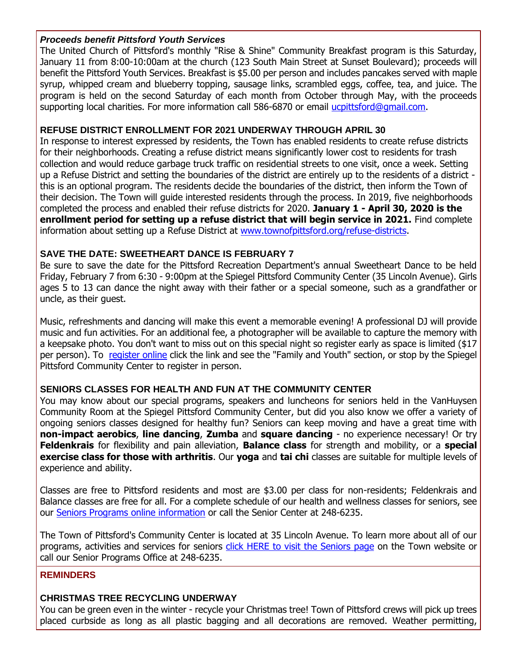#### *Proceeds benefit Pittsford Youth Services*

The United Church of Pittsford's monthly "Rise & Shine" Community Breakfast program is this Saturday, January 11 from 8:00-10:00am at the church (123 South Main Street at Sunset Boulevard); proceeds will benefit the Pittsford Youth Services. Breakfast is \$5.00 per person and includes pancakes served with maple syrup, whipped cream and blueberry topping, sausage links, scrambled eggs, coffee, tea, and juice. The program is held on the second Saturday of each month from October through May, with the proceeds supporting local charities. For more information call 586-6870 or email [ucpittsford@gmail.com.](mailto:ucpittsford@gmail.com?subject=Rise%20%26%20Shine%20Community%20Breakfast)

#### **REFUSE DISTRICT ENROLLMENT FOR 2021 UNDERWAY THROUGH APRIL 30**

In response to interest expressed by residents, the Town has enabled residents to create refuse districts for their neighborhoods. Creating a refuse district means significantly lower cost to residents for trash collection and would reduce garbage truck traffic on residential streets to one visit, once a week. Setting up a Refuse District and setting the boundaries of the district are entirely up to the residents of a district this is an optional program. The residents decide the boundaries of the district, then inform the Town of their decision. The Town will guide interested residents through the process. In 2019, five neighborhoods completed the process and enabled their refuse districts for 2020. **January 1 - April 30, 2020 is the enrollment period for setting up a refuse district that will begin service in 2021.** Find complete information about setting up a Refuse District at [www.townofpittsford.org/refuse-districts.](http://r20.rs6.net/tn.jsp?f=001t3thPlGQxl_1qj5OPPoa-yAWlYIIwodvnM-lWc_1Ft-HHEMDMGxN4jCClRA7kHsWZ_53kqQXlD2UsOFHgxdLa3_mtr_D05VD6xr_UOAps7877jyFBKlm4eI8cp6NESZip-GiyCncB4XNXwT2RCMS-cX6dRPoYVnFxGShOenhTtswKBwO8_5AQXzLkQIvBBQm6lcA1zmQHwQ0fT3-iaDbNtq10GJphKS4R5dAt8vaw7tGwWQd8K9Kgp2Qg_HuOrFX6RVgN0cd2nommR5KE0M7yUnIy35Y1tXEteubvpq_CZ3r0DbSvAfaIPWNk062bLZf&c=uY0FgUbuAr5QUGsNJOLT_ohIS3YjIPgPMJ8d8aL8aB-8Nofh2NBSHQ==&ch=kPc6bP65rgBOzYqxWbuM49cjoY7-BmY_ZNkC8Qj2yVIwamEcaL4ZtA==)

#### **SAVE THE DATE: SWEETHEART DANCE IS FEBRUARY 7**

Be sure to save the date for the Pittsford Recreation Department's annual Sweetheart Dance to be held Friday, February 7 from 6:30 - 9:00pm at the Spiegel Pittsford Community Center (35 Lincoln Avenue). Girls ages 5 to 13 can dance the night away with their father or a special someone, such as a grandfather or uncle, as their guest.

Music, refreshments and dancing will make this event a memorable evening! A professional DJ will provide music and fun activities. For an additional fee, a photographer will be available to capture the memory with a keepsake photo. You don't want to miss out on this special night so register early as space is limited (\$17 per person). To [register online](http://r20.rs6.net/tn.jsp?f=001t3thPlGQxl_1qj5OPPoa-yAWlYIIwodvnM-lWc_1Ft-HHEMDMGxN4kERQ1E2nFJBsS3VGBd5CV3QtH4NjDkLOfmoxUlqGEvJ973afBq-XqMx4pKbR5B9e0laZPYWjh0iAToGtCRLRTOqsiNpYZ2Exd1UM50lrhhOfrNDVrJKPAhLtupAgzIcRHNTwbqG_98E1wrU7jm88sYu7bvZAYJylVP3VV9ENqTKqYEOP2Pp68MtDar50-EjlcabhIHUD5GQTvjwMDaN_4sVKR99nDxB9sp1GP3ch-D9yOY2MEoWwKzNFYFDO15nhUE2r36PRIiH8Hy-zFDjmunzvNgLGGkDMwkvVNZOo_mb&c=uY0FgUbuAr5QUGsNJOLT_ohIS3YjIPgPMJ8d8aL8aB-8Nofh2NBSHQ==&ch=kPc6bP65rgBOzYqxWbuM49cjoY7-BmY_ZNkC8Qj2yVIwamEcaL4ZtA==) click the link and see the "Family and Youth" section, or stop by the Spiegel Pittsford Community Center to register in person.

#### **SENIORS CLASSES FOR HEALTH AND FUN AT THE COMMUNITY CENTER**

You may know about our special programs, speakers and luncheons for seniors held in the VanHuysen Community Room at the Spiegel Pittsford Community Center, but did you also know we offer a variety of ongoing seniors classes designed for healthy fun? Seniors can keep moving and have a great time with **non-impact aerobics**, **line dancing**, **Zumba** and **square dancing** - no experience necessary! Or try **Feldenkrais** for flexibility and pain alleviation, **Balance class** for strength and mobility, or a **special exercise class for those with arthritis**. Our **yoga** and **tai chi** classes are suitable for multiple levels of experience and ability.

Classes are free to Pittsford residents and most are \$3.00 per class for non-residents; Feldenkrais and Balance classes are free for all. For a complete schedule of our health and wellness classes for seniors, see our [Seniors Programs online information](http://r20.rs6.net/tn.jsp?f=001t3thPlGQxl_1qj5OPPoa-yAWlYIIwodvnM-lWc_1Ft-HHEMDMGxN4iYSnxrK9k08sMlVP2XotR0VSKE4nK_XchW63McoaLSN7DzP0gU6-RSVxMiecPLxE2iQ59xkM8swOamAja1l3S3xfAqSAbuDcygMf_32LRJ47lXKvtVCNl5tPl_8ASxU3PkdUoMvJFdsMVFEElNO0pQKqRf_5KgXwlEh8oRFpYMYo4kWptntusKhnsLeegIMMkjf-bFA4gcv1ZiaTCu8mnBZvjagLyknzRM3t75G6Cgf-ARhj9Qujydri2NArwdkAm-P5DZ-YfttxTDXqrAzsGzo5Ig3iTXK__GztPCnUXkA9LOlFfBeTeg=&c=uY0FgUbuAr5QUGsNJOLT_ohIS3YjIPgPMJ8d8aL8aB-8Nofh2NBSHQ==&ch=kPc6bP65rgBOzYqxWbuM49cjoY7-BmY_ZNkC8Qj2yVIwamEcaL4ZtA==) or call the Senior Center at 248-6235.

The Town of Pittsford's Community Center is located at 35 Lincoln Avenue. To learn more about all of our programs, activities and services for seniors [click HERE to visit the Seniors page](http://www.townofpittsford.org/home-seniors?utm_source=eNews+1-8-20&utm_campaign=eNews+01-08-20&utm_medium=email) on the Town website or call our Senior Programs Office at 248-6235.

#### **REMINDERS**

#### **CHRISTMAS TREE RECYCLING UNDERWAY**

You can be green even in the winter - recycle your Christmas tree! Town of Pittsford crews will pick up trees placed curbside as long as all plastic bagging and all decorations are removed. Weather permitting,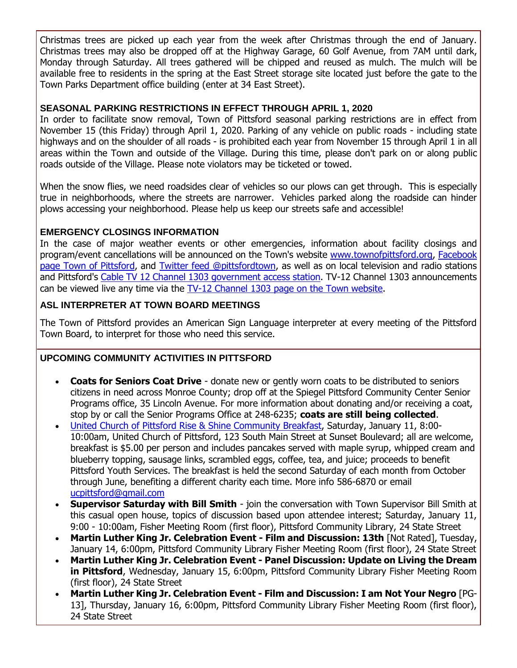Christmas trees are picked up each year from the week after Christmas through the end of January. Christmas trees may also be dropped off at the Highway Garage, 60 Golf Avenue, from 7AM until dark, Monday through Saturday. All trees gathered will be chipped and reused as mulch. The mulch will be available free to residents in the spring at the East Street storage site located just before the gate to the Town Parks Department office building (enter at 34 East Street).

#### **SEASONAL PARKING RESTRICTIONS IN EFFECT THROUGH APRIL 1, 2020**

In order to facilitate snow removal, Town of Pittsford seasonal parking restrictions are in effect from November 15 (this Friday) through April 1, 2020. Parking of any vehicle on public roads - including state highways and on the shoulder of all roads - is prohibited each year from November 15 through April 1 in all areas within the Town and outside of the Village. During this time, please don't park on or along public roads outside of the Village. Please note violators may be ticketed or towed.

When the snow flies, we need roadsides clear of vehicles so our plows can get through. This is especially true in neighborhoods, where the streets are narrower. Vehicles parked along the roadside can hinder plows accessing your neighborhood. Please help us keep our streets safe and accessible!

#### **EMERGENCY CLOSINGS INFORMATION**

In the case of major weather events or other emergencies, information about facility closings and program/event cancellations will be announced on the Town's website [www.townofpittsford.org,](http://townofpittsford.org/?utm_source=eNews+1-8-20&utm_campaign=eNews+01-08-20&utm_medium=email) [Facebook](https://www.facebook.com/pages/Town-of-Pittsford/139082619464200)  [page Town of Pittsford,](https://www.facebook.com/pages/Town-of-Pittsford/139082619464200) and [Twitter feed @pittsfordtown,](http://r20.rs6.net/tn.jsp?f=001t3thPlGQxl_1qj5OPPoa-yAWlYIIwodvnM-lWc_1Ft-HHEMDMGxN4uiaksRlwv3QKt4FMEvCNjDgYtFOlNU-_rBSiCtirR1e9MuQHZmPPIB6rV4kX4keVBcmAy7EIXFmebBqfr_76wdjC-VkIt5LxqPJN-J2E4Bx7Et5-2L308Kf3XZAcToHpw==&c=uY0FgUbuAr5QUGsNJOLT_ohIS3YjIPgPMJ8d8aL8aB-8Nofh2NBSHQ==&ch=kPc6bP65rgBOzYqxWbuM49cjoY7-BmY_ZNkC8Qj2yVIwamEcaL4ZtA==) as well as on local television and radio stations and Pittsford's [Cable TV 12 Channel 1303 government access station.](http://townofpittsford.org/home-channel12?utm_source=eNews+1-8-20&utm_campaign=eNews+01-08-20&utm_medium=email) TV-12 Channel 1303 announcements can be viewed live any time via the [TV-12 Channel 1303 page on the Town website.](http://townofpittsford.org/home-channel12?utm_source=eNews+1-8-20&utm_campaign=eNews+01-08-20&utm_medium=email)

#### **ASL INTERPRETER AT TOWN BOARD MEETINGS**

The Town of Pittsford provides an American Sign Language interpreter at every meeting of the Pittsford Town Board, to interpret for those who need this service.

#### **UPCOMING COMMUNITY ACTIVITIES IN PITTSFORD**

- **Coats for Seniors Coat Drive** donate new or gently worn coats to be distributed to seniors citizens in need across Monroe County; drop off at the Spiegel Pittsford Community Center Senior Programs office, 35 Lincoln Avenue. For more information about donating and/or receiving a coat, stop by or call the Senior Programs Office at 248-6235; **coats are still being collected**.
- [United Church of Pittsford Rise & Shine Community Breakfast,](http://r20.rs6.net/tn.jsp?f=001t3thPlGQxl_1qj5OPPoa-yAWlYIIwodvnM-lWc_1Ft-HHEMDMGxN4ibgF_OkCc1cOteZU3ridE4Y5COnwRgffC9FESFWBPcMv3rxQgUyZqUXWnloKwv5oDnbv9n5VD8jz2wbb-n0iCbGcnjeLkK09prj93QGwdJuX0DZD0Z7kU8r5Au8am9sPVP0fPQLOlCLr55P-OFeA_VuL-2bsZtz0ihUI8H5jgn1SZ-2uNu_vxbL4Pbvrr7H8R15qE3RX8BGTGyJSgRvR1C4sVa2-55OJEg9PPLoj2fz&c=uY0FgUbuAr5QUGsNJOLT_ohIS3YjIPgPMJ8d8aL8aB-8Nofh2NBSHQ==&ch=kPc6bP65rgBOzYqxWbuM49cjoY7-BmY_ZNkC8Qj2yVIwamEcaL4ZtA==) Saturday, January 11, 8:00- 10:00am, United Church of Pittsford, 123 South Main Street at Sunset Boulevard; all are welcome, breakfast is \$5.00 per person and includes pancakes served with maple syrup, whipped cream and blueberry topping, sausage links, scrambled eggs, coffee, tea, and juice; proceeds to benefit Pittsford Youth Services. The breakfast is held the second Saturday of each month from October through June, benefiting a different charity each time. More info 586-6870 or email [ucpittsford@gmail.com](mailto:ucpittsford@gmail.com?subject=Rise%20and%20Shine%20Pancake%20Breakfast)
- **Supervisor Saturday with Bill Smith** join the conversation with Town Supervisor Bill Smith at this casual open house, topics of discussion based upon attendee interest; Saturday, January 11, 9:00 - 10:00am, Fisher Meeting Room (first floor), Pittsford Community Library, 24 State Street
- **Martin Luther King Jr. Celebration Event - Film and Discussion: 13th** [Not Rated], Tuesday, January 14, 6:00pm, Pittsford Community Library Fisher Meeting Room (first floor), 24 State Street
- **Martin Luther King Jr. Celebration Event - Panel Discussion: Update on Living the Dream in Pittsford**, Wednesday, January 15, 6:00pm, Pittsford Community Library Fisher Meeting Room (first floor), 24 State Street
- **Martin Luther King Jr. Celebration Event - Film and Discussion: I am Not Your Negro** [PG-13], Thursday, January 16, 6:00pm, Pittsford Community Library Fisher Meeting Room (first floor), 24 State Street